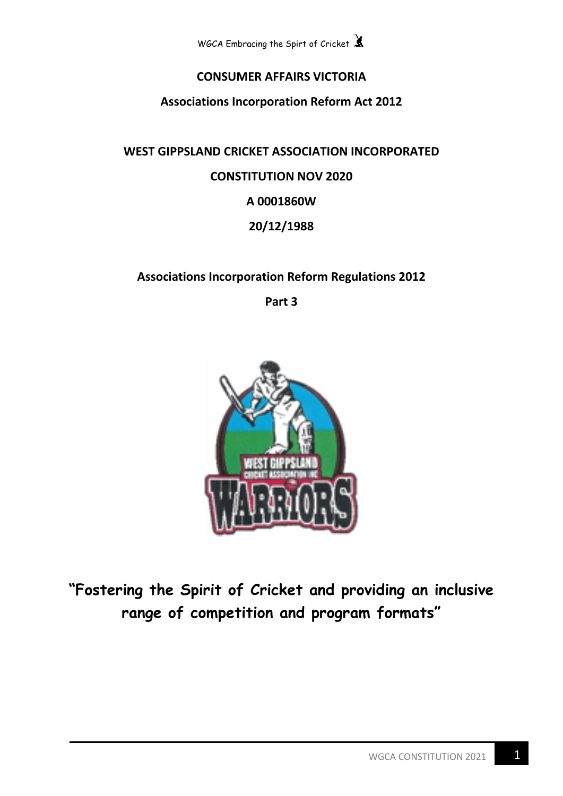

# **CONSUMER AFFAIRS VICTORIA**

**Associations Incorporation Reform Act 2012**

**WEST GIPPSLAND CRICKET ASSOCIATION INCORPORATED CONSTITUTION NOV 2020 A 0001860W 20/12/1988**

# **Associations Incorporation Reform Regulations 2012**

**Part 3** 



**"Fostering the Spirit of Cricket and providing an inclusive range of competition and program formats"**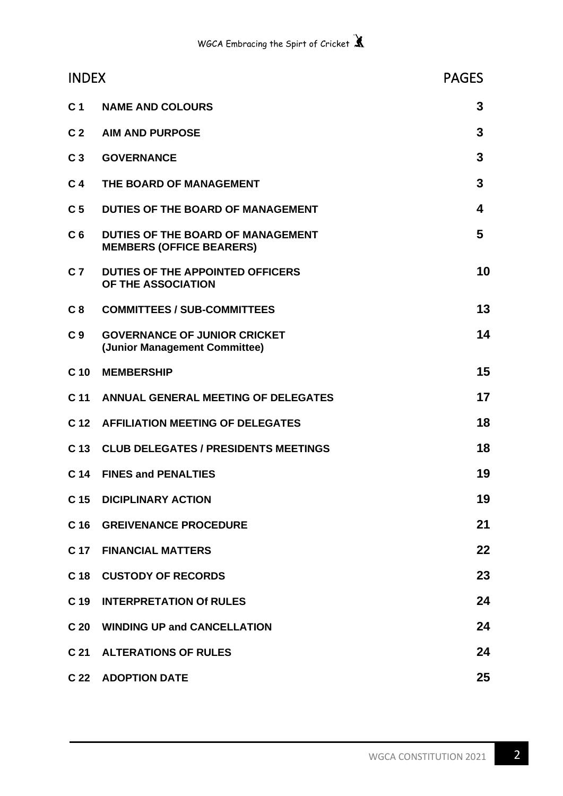| <b>INDEX</b>    |                                                                      | <b>PAGES</b> |
|-----------------|----------------------------------------------------------------------|--------------|
| C <sub>1</sub>  | <b>NAME AND COLOURS</b>                                              | 3            |
| C <sub>2</sub>  | <b>AIM AND PURPOSE</b>                                               | 3            |
| C <sub>3</sub>  | <b>GOVERNANCE</b>                                                    | 3            |
| C <sub>4</sub>  | THE BOARD OF MANAGEMENT                                              | 3            |
| C <sub>5</sub>  | DUTIES OF THE BOARD OF MANAGEMENT                                    | 4            |
| C <sub>6</sub>  | DUTIES OF THE BOARD OF MANAGEMENT<br><b>MEMBERS (OFFICE BEARERS)</b> | 5            |
| C <sub>7</sub>  | DUTIES OF THE APPOINTED OFFICERS<br>OF THE ASSOCIATION               | 10           |
| C <sub>8</sub>  | <b>COMMITTEES / SUB-COMMITTEES</b>                                   | 13           |
| C <sub>9</sub>  | <b>GOVERNANCE OF JUNIOR CRICKET</b><br>(Junior Management Committee) | 14           |
| C <sub>10</sub> | <b>MEMBERSHIP</b>                                                    | 15           |
| C <sub>11</sub> | ANNUAL GENERAL MEETING OF DELEGATES                                  | 17           |
| C <sub>12</sub> | <b>AFFILIATION MEETING OF DELEGATES</b>                              | 18           |
|                 | C 13 CLUB DELEGATES / PRESIDENTS MEETINGS                            | 18           |
| C <sub>14</sub> | <b>FINES and PENALTIES</b>                                           | 19           |
| C <sub>15</sub> | <b>DICIPLINARY ACTION</b>                                            | 19           |
| C <sub>16</sub> | <b>GREIVENANCE PROCEDURE</b>                                         | 21           |
| C 17            | <b>FINANCIAL MATTERS</b>                                             | 22           |
| C <sub>18</sub> | <b>CUSTODY OF RECORDS</b>                                            | 23           |
| C <sub>19</sub> | <b>INTERPRETATION Of RULES</b>                                       | 24           |
| C <sub>20</sub> | <b>WINDING UP and CANCELLATION</b>                                   | 24           |
| C <sub>21</sub> | <b>ALTERATIONS OF RULES</b>                                          | 24           |
| C <sub>22</sub> | <b>ADOPTION DATE</b>                                                 | 25           |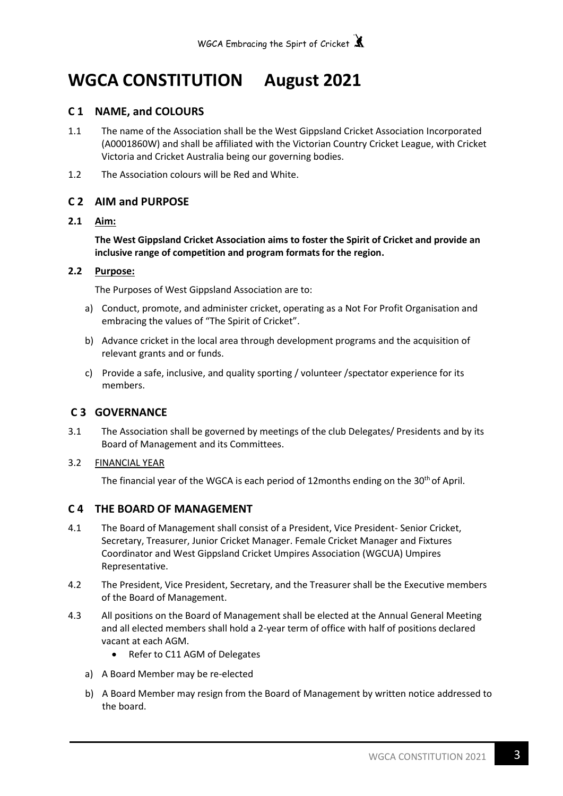# **WGCA CONSTITUTION August 2021**

## **C 1 NAME, and COLOURS**

- 1.1 The name of the Association shall be the West Gippsland Cricket Association Incorporated (A0001860W) and shall be affiliated with the Victorian Country Cricket League, with Cricket Victoria and Cricket Australia being our governing bodies.
- 1.2 The Association colours will be Red and White.

## **C 2 AIM and PURPOSE**

## **2.1 Aim:**

**The West Gippsland Cricket Association aims to foster the Spirit of Cricket and provide an inclusive range of competition and program formats for the region.**

## **2.2 Purpose:**

The Purposes of West Gippsland Association are to:

- a) Conduct, promote, and administer cricket, operating as a Not For Profit Organisation and embracing the values of "The Spirit of Cricket".
- b) Advance cricket in the local area through development programs and the acquisition of relevant grants and or funds.
- c) Provide a safe, inclusive, and quality sporting / volunteer /spectator experience for its members.

## **C 3 GOVERNANCE**

- 3.1 The Association shall be governed by meetings of the club Delegates/ Presidents and by its Board of Management and its Committees.
- 3.2 FINANCIAL YEAR

The financial year of the WGCA is each period of 12months ending on the  $30<sup>th</sup>$  of April.

## **C 4 THE BOARD OF MANAGEMENT**

- 4.1 The Board of Management shall consist of a President, Vice President- Senior Cricket, Secretary, Treasurer, Junior Cricket Manager. Female Cricket Manager and Fixtures Coordinator and West Gippsland Cricket Umpires Association (WGCUA) Umpires Representative.
- 4.2 The President, Vice President, Secretary, and the Treasurer shall be the Executive members of the Board of Management.
- 4.3 All positions on the Board of Management shall be elected at the Annual General Meeting and all elected members shall hold a 2-year term of office with half of positions declared vacant at each AGM.
	- Refer to C11 AGM of Delegates
	- a) A Board Member may be re-elected
	- b) A Board Member may resign from the Board of Management by written notice addressed to the board.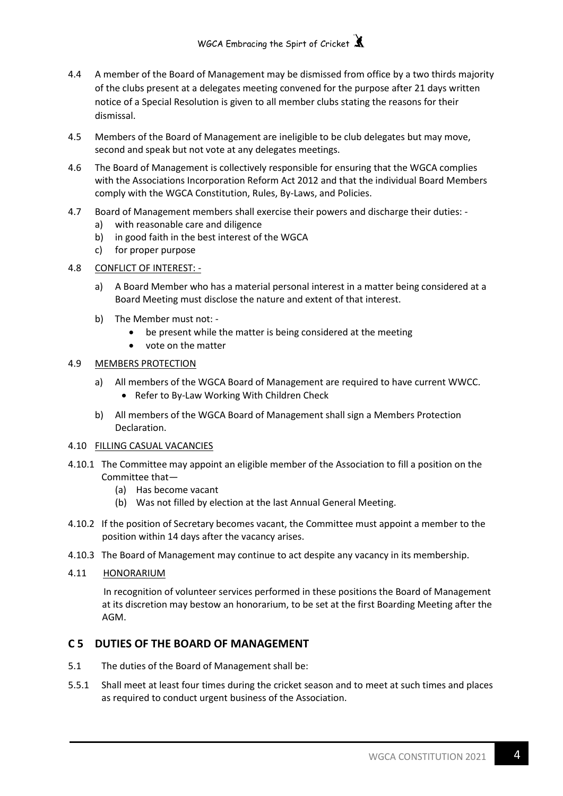- 4.4 A member of the Board of Management may be dismissed from office by a two thirds majority of the clubs present at a delegates meeting convened for the purpose after 21 days written notice of a Special Resolution is given to all member clubs stating the reasons for their dismissal.
- 4.5 Members of the Board of Management are ineligible to be club delegates but may move, second and speak but not vote at any delegates meetings.
- 4.6 The Board of Management is collectively responsible for ensuring that the WGCA complies with the Associations Incorporation Reform Act 2012 and that the individual Board Members comply with the WGCA Constitution, Rules, By-Laws, and Policies.
- 4.7 Board of Management members shall exercise their powers and discharge their duties:
	- a) with reasonable care and diligence
	- b) in good faith in the best interest of the WGCA
	- c) for proper purpose
- 4.8 CONFLICT OF INTEREST:
	- a) A Board Member who has a material personal interest in a matter being considered at a Board Meeting must disclose the nature and extent of that interest.
	- b) The Member must not:
		- be present while the matter is being considered at the meeting
		- vote on the matter

## 4.9 MEMBERS PROTECTION

- a) All members of the WGCA Board of Management are required to have current WWCC. • Refer to By-Law Working With Children Check
- b) All members of the WGCA Board of Management shall sign a Members Protection Declaration.
- 4.10 FILLING CASUAL VACANCIES
- 4.10.1 The Committee may appoint an eligible member of the Association to fill a position on the Committee that—
	- (a) Has become vacant
	- (b) Was not filled by election at the last Annual General Meeting.
- 4.10.2 If the position of Secretary becomes vacant, the Committee must appoint a member to the position within 14 days after the vacancy arises.
- 4.10.3 The Board of Management may continue to act despite any vacancy in its membership.
- 4.11 HONORARIUM

 In recognition of volunteer services performed in these positions the Board of Management at its discretion may bestow an honorarium, to be set at the first Boarding Meeting after the AGM.

## **C 5 DUTIES OF THE BOARD OF MANAGEMENT**

- 5.1 The duties of the Board of Management shall be:
- 5.5.1 Shall meet at least four times during the cricket season and to meet at such times and places as required to conduct urgent business of the Association.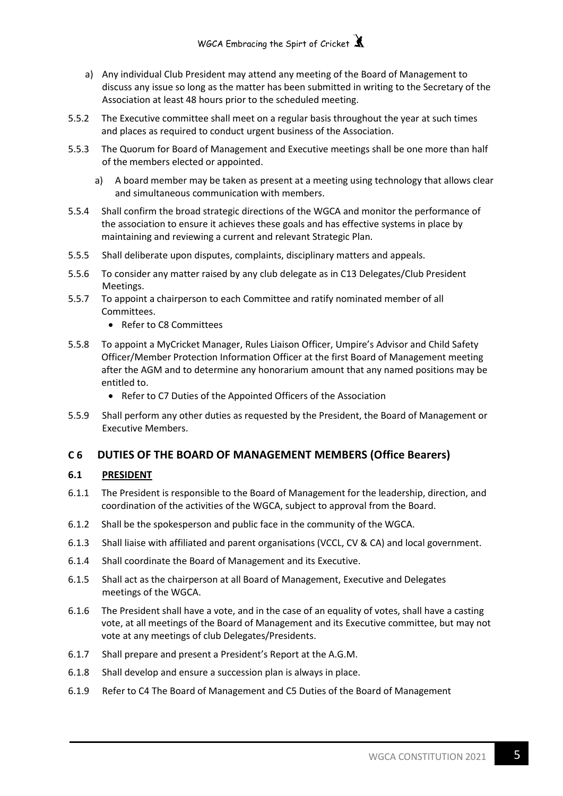- a) Any individual Club President may attend any meeting of the Board of Management to discuss any issue so long as the matter has been submitted in writing to the Secretary of the Association at least 48 hours prior to the scheduled meeting.
- 5.5.2 The Executive committee shall meet on a regular basis throughout the year at such times and places as required to conduct urgent business of the Association.
- 5.5.3 The Quorum for Board of Management and Executive meetings shall be one more than half of the members elected or appointed.
	- a) A board member may be taken as present at a meeting using technology that allows clear and simultaneous communication with members.
- 5.5.4 Shall confirm the broad strategic directions of the WGCA and monitor the performance of the association to ensure it achieves these goals and has effective systems in place by maintaining and reviewing a current and relevant Strategic Plan.
- 5.5.5 Shall deliberate upon disputes, complaints, disciplinary matters and appeals.
- 5.5.6 To consider any matter raised by any club delegate as in C13 Delegates/Club President Meetings.
- 5.5.7 To appoint a chairperson to each Committee and ratify nominated member of all Committees.
	- Refer to C8 Committees
- 5.5.8 To appoint a MyCricket Manager, Rules Liaison Officer, Umpire's Advisor and Child Safety Officer/Member Protection Information Officer at the first Board of Management meeting after the AGM and to determine any honorarium amount that any named positions may be entitled to.
	- Refer to C7 Duties of the Appointed Officers of the Association
- 5.5.9 Shall perform any other duties as requested by the President, the Board of Management or Executive Members.

## **C 6 DUTIES OF THE BOARD OF MANAGEMENT MEMBERS (Office Bearers)**

## **6.1 PRESIDENT**

- 6.1.1 The President is responsible to the Board of Management for the leadership, direction, and coordination of the activities of the WGCA, subject to approval from the Board.
- 6.1.2 Shall be the spokesperson and public face in the community of the WGCA.
- 6.1.3 Shall liaise with affiliated and parent organisations (VCCL, CV & CA) and local government.
- 6.1.4 Shall coordinate the Board of Management and its Executive.
- 6.1.5 Shall act as the chairperson at all Board of Management, Executive and Delegates meetings of the WGCA.
- 6.1.6 The President shall have a vote, and in the case of an equality of votes, shall have a casting vote, at all meetings of the Board of Management and its Executive committee, but may not vote at any meetings of club Delegates/Presidents.
- 6.1.7 Shall prepare and present a President's Report at the A.G.M.
- 6.1.8 Shall develop and ensure a succession plan is always in place.
- 6.1.9 Refer to C4 The Board of Management and C5 Duties of the Board of Management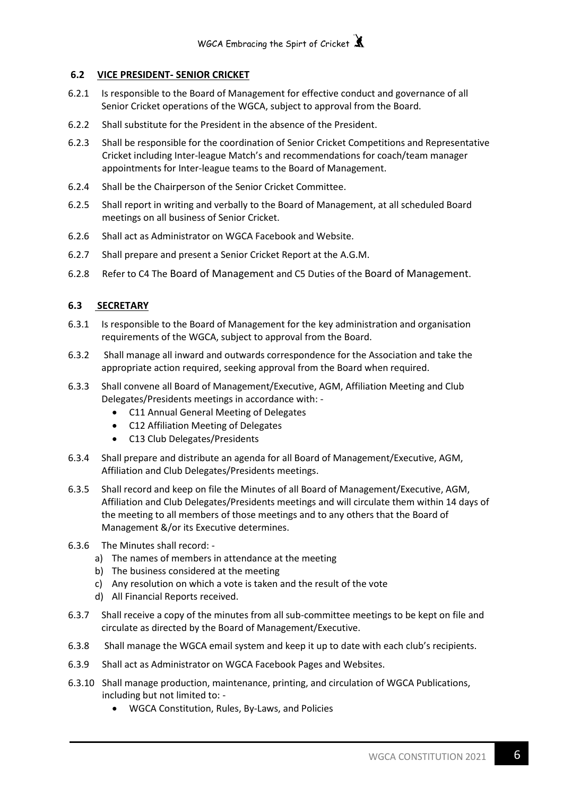## **6.2 VICE PRESIDENT- SENIOR CRICKET**

- 6.2.1 Is responsible to the Board of Management for effective conduct and governance of all Senior Cricket operations of the WGCA, subject to approval from the Board.
- 6.2.2 Shall substitute for the President in the absence of the President.
- 6.2.3 Shall be responsible for the coordination of Senior Cricket Competitions and Representative Cricket including Inter-league Match's and recommendations for coach/team manager appointments for Inter-league teams to the Board of Management.
- 6.2.4 Shall be the Chairperson of the Senior Cricket Committee.
- 6.2.5 Shall report in writing and verbally to the Board of Management, at all scheduled Board meetings on all business of Senior Cricket.
- 6.2.6 Shall act as Administrator on WGCA Facebook and Website.
- 6.2.7 Shall prepare and present a Senior Cricket Report at the A.G.M.
- 6.2.8 Refer to C4 The Board of Management and C5 Duties of the Board of Management.

## **6.3 SECRETARY**

- 6.3.1 Is responsible to the Board of Management for the key administration and organisation requirements of the WGCA, subject to approval from the Board.
- 6.3.2 Shall manage all inward and outwards correspondence for the Association and take the appropriate action required, seeking approval from the Board when required.
- 6.3.3 Shall convene all Board of Management/Executive, AGM, Affiliation Meeting and Club Delegates/Presidents meetings in accordance with: -
	- C11 Annual General Meeting of Delegates
	- C12 Affiliation Meeting of Delegates
	- C13 Club Delegates/Presidents
- 6.3.4 Shall prepare and distribute an agenda for all Board of Management/Executive, AGM, Affiliation and Club Delegates/Presidents meetings.
- 6.3.5 Shall record and keep on file the Minutes of all Board of Management/Executive, AGM, Affiliation and Club Delegates/Presidents meetings and will circulate them within 14 days of the meeting to all members of those meetings and to any others that the Board of Management &/or its Executive determines.
- 6.3.6 The Minutes shall record:
	- a) The names of members in attendance at the meeting
	- b) The business considered at the meeting
	- c) Any resolution on which a vote is taken and the result of the vote
	- d) All Financial Reports received.
- 6.3.7 Shall receive a copy of the minutes from all sub-committee meetings to be kept on file and circulate as directed by the Board of Management/Executive.
- 6.3.8 Shall manage the WGCA email system and keep it up to date with each club's recipients.
- 6.3.9 Shall act as Administrator on WGCA Facebook Pages and Websites.
- 6.3.10 Shall manage production, maintenance, printing, and circulation of WGCA Publications, including but not limited to: -
	- WGCA Constitution, Rules, By-Laws, and Policies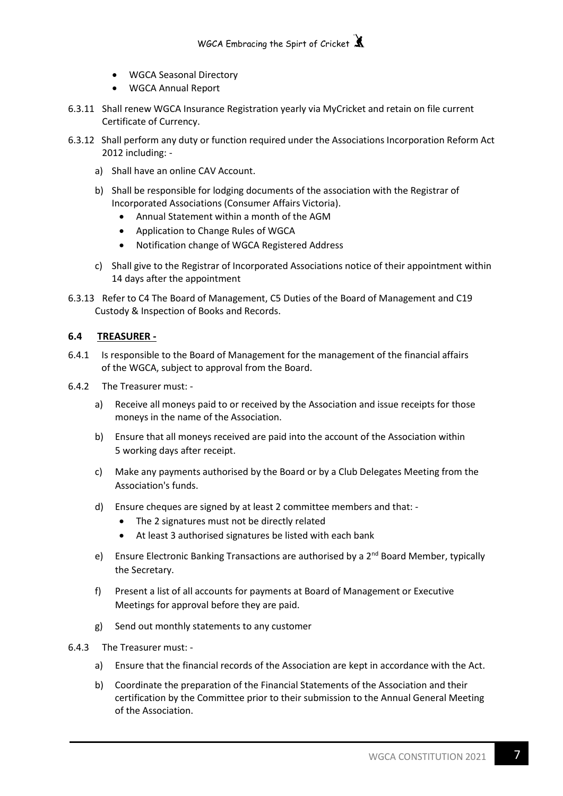- WGCA Seasonal Directory
- WGCA Annual Report
- 6.3.11 Shall renew WGCA Insurance Registration yearly via MyCricket and retain on file current Certificate of Currency.
- 6.3.12 Shall perform any duty or function required under the Associations Incorporation Reform Act 2012 including:
	- a) Shall have an online CAV Account.
	- b) Shall be responsible for lodging documents of the association with the Registrar of Incorporated Associations (Consumer Affairs Victoria).
		- Annual Statement within a month of the AGM
		- Application to Change Rules of WGCA
		- Notification change of WGCA Registered Address
	- c) Shall give to the Registrar of Incorporated Associations notice of their appointment within 14 days after the appointment
- 6.3.13 Refer to C4 The Board of Management, C5 Duties of the Board of Management and C19 Custody & Inspection of Books and Records.

## **6.4 TREASURER -**

- 6.4.1 Is responsible to the Board of Management for the management of the financial affairs of the WGCA, subject to approval from the Board.
- 6.4.2 The Treasurer must:
	- a) Receive all moneys paid to or received by the Association and issue receipts for those moneys in the name of the Association.
	- b) Ensure that all moneys received are paid into the account of the Association within 5 working days after receipt.
	- c) Make any payments authorised by the Board or by a Club Delegates Meeting from the Association's funds.
	- d) Ensure cheques are signed by at least 2 committee members and that:
		- The 2 signatures must not be directly related
		- At least 3 authorised signatures be listed with each bank
	- e) Ensure Electronic Banking Transactions are authorised by a  $2^{nd}$  Board Member, typically the Secretary.
	- f) Present a list of all accounts for payments at Board of Management or Executive Meetings for approval before they are paid.
	- g) Send out monthly statements to any customer
- 6.4.3 The Treasurer must:
	- a) Ensure that the financial records of the Association are kept in accordance with the Act.
	- b) Coordinate the preparation of the Financial Statements of the Association and their certification by the Committee prior to their submission to the Annual General Meeting of the Association.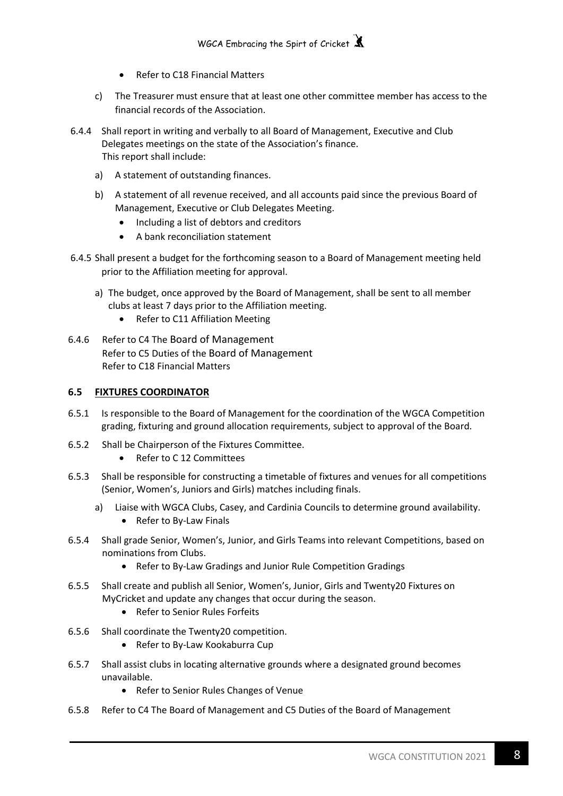- Refer to C18 Financial Matters
- c) The Treasurer must ensure that at least one other committee member has access to the financial records of the Association.
- 6.4.4 Shall report in writing and verbally to all Board of Management, Executive and Club Delegates meetings on the state of the Association's finance. This report shall include:
	- a) A statement of outstanding finances.
	- b) A statement of all revenue received, and all accounts paid since the previous Board of Management, Executive or Club Delegates Meeting.
		- Including a list of debtors and creditors
		- A bank reconciliation statement
- 6.4.5 Shall present a budget for the forthcoming season to a Board of Management meeting held prior to the Affiliation meeting for approval.
	- a) The budget, once approved by the Board of Management, shall be sent to all member clubs at least 7 days prior to the Affiliation meeting.
		- Refer to C11 Affiliation Meeting
- 6.4.6 Refer to C4 The Board of Management Refer to C5 Duties of the Board of Management Refer to C18 Financial Matters

## **6.5 FIXTURES COORDINATOR**

- 6.5.1 Is responsible to the Board of Management for the coordination of the WGCA Competition grading, fixturing and ground allocation requirements, subject to approval of the Board.
- 6.5.2 Shall be Chairperson of the Fixtures Committee.
	- Refer to C 12 Committees
- 6.5.3 Shall be responsible for constructing a timetable of fixtures and venues for all competitions (Senior, Women's, Juniors and Girls) matches including finals.
	- a) Liaise with WGCA Clubs, Casey, and Cardinia Councils to determine ground availability.
		- Refer to By-Law Finals
- 6.5.4 Shall grade Senior, Women's, Junior, and Girls Teams into relevant Competitions, based on nominations from Clubs.
	- Refer to By-Law Gradings and Junior Rule Competition Gradings
- 6.5.5 Shall create and publish all Senior, Women's, Junior, Girls and Twenty20 Fixtures on MyCricket and update any changes that occur during the season.
	- Refer to Senior Rules Forfeits
- 6.5.6 Shall coordinate the Twenty20 competition.
	- Refer to By-Law Kookaburra Cup
- 6.5.7 Shall assist clubs in locating alternative grounds where a designated ground becomes unavailable.
	- Refer to Senior Rules Changes of Venue
- 6.5.8 Refer to C4 The Board of Management and C5 Duties of the Board of Management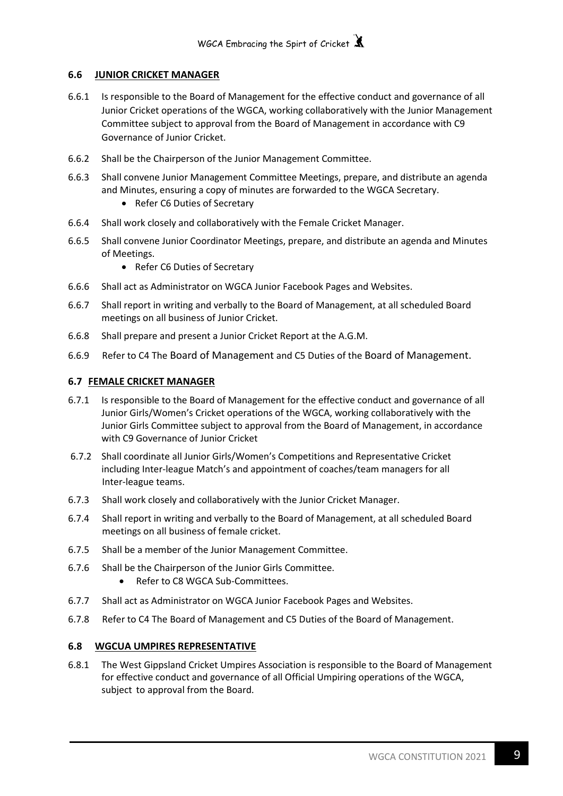## **6.6 JUNIOR CRICKET MANAGER**

- 6.6.1 Is responsible to the Board of Management for the effective conduct and governance of all Junior Cricket operations of the WGCA, working collaboratively with the Junior Management Committee subject to approval from the Board of Management in accordance with C9 Governance of Junior Cricket.
- 6.6.2 Shall be the Chairperson of the Junior Management Committee.
- 6.6.3 Shall convene Junior Management Committee Meetings, prepare, and distribute an agenda and Minutes, ensuring a copy of minutes are forwarded to the WGCA Secretary.
	- Refer C6 Duties of Secretary
- 6.6.4 Shall work closely and collaboratively with the Female Cricket Manager.
- 6.6.5 Shall convene Junior Coordinator Meetings, prepare, and distribute an agenda and Minutes of Meetings.
	- Refer C6 Duties of Secretary
- 6.6.6 Shall act as Administrator on WGCA Junior Facebook Pages and Websites.
- 6.6.7 Shall report in writing and verbally to the Board of Management, at all scheduled Board meetings on all business of Junior Cricket.
- 6.6.8 Shall prepare and present a Junior Cricket Report at the A.G.M.
- 6.6.9 Refer to C4 The Board of Management and C5 Duties of the Board of Management.

## **6.7 FEMALE CRICKET MANAGER**

- 6.7.1 Is responsible to the Board of Management for the effective conduct and governance of all Junior Girls/Women's Cricket operations of the WGCA, working collaboratively with the Junior Girls Committee subject to approval from the Board of Management, in accordance with C9 Governance of Junior Cricket
- 6.7.2 Shall coordinate all Junior Girls/Women's Competitions and Representative Cricket including Inter-league Match's and appointment of coaches/team managers for all Inter-league teams.
- 6.7.3 Shall work closely and collaboratively with the Junior Cricket Manager.
- 6.7.4 Shall report in writing and verbally to the Board of Management, at all scheduled Board meetings on all business of female cricket.
- 6.7.5 Shall be a member of the Junior Management Committee.
- 6.7.6 Shall be the Chairperson of the Junior Girls Committee.
	- Refer to C8 WGCA Sub-Committees.
- 6.7.7 Shall act as Administrator on WGCA Junior Facebook Pages and Websites.
- 6.7.8 Refer to C4 The Board of Management and C5 Duties of the Board of Management.

## **6.8 WGCUA UMPIRES REPRESENTATIVE**

6.8.1 The West Gippsland Cricket Umpires Association is responsible to the Board of Management for effective conduct and governance of all Official Umpiring operations of the WGCA, subject to approval from the Board.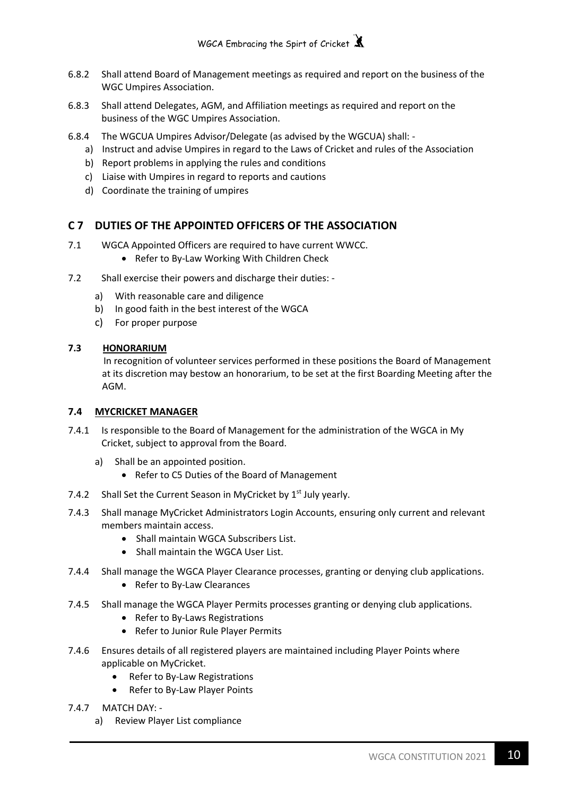- 6.8.2 Shall attend Board of Management meetings as required and report on the business of the WGC Umpires Association.
- 6.8.3 Shall attend Delegates, AGM, and Affiliation meetings as required and report on the business of the WGC Umpires Association.
- 6.8.4 The WGCUA Umpires Advisor/Delegate (as advised by the WGCUA) shall:
	- a) Instruct and advise Umpires in regard to the Laws of Cricket and rules of the Association
	- b) Report problems in applying the rules and conditions
	- c) Liaise with Umpires in regard to reports and cautions
	- d) Coordinate the training of umpires

## **C 7 DUTIES OF THE APPOINTED OFFICERS OF THE ASSOCIATION**

- 7.1 WGCA Appointed Officers are required to have current WWCC.
	- Refer to By-Law Working With Children Check
- 7.2 Shall exercise their powers and discharge their duties:
	- a) With reasonable care and diligence
	- b) In good faith in the best interest of the WGCA
	- c) For proper purpose

## **7.3 HONORARIUM**

 In recognition of volunteer services performed in these positions the Board of Management at its discretion may bestow an honorarium, to be set at the first Boarding Meeting after the AGM.

## **7.4 MYCRICKET MANAGER**

- 7.4.1 Is responsible to the Board of Management for the administration of the WGCA in My Cricket, subject to approval from the Board.
	- a) Shall be an appointed position.
		- Refer to C5 Duties of the Board of Management
- 7.4.2 Shall Set the Current Season in MyCricket by  $1<sup>st</sup>$  July yearly.
- 7.4.3 Shall manage MyCricket Administrators Login Accounts, ensuring only current and relevant members maintain access.
	- Shall maintain WGCA Subscribers List.
	- Shall maintain the WGCA User List.
- 7.4.4 Shall manage the WGCA Player Clearance processes, granting or denying club applications.
	- Refer to By-Law Clearances
- 7.4.5 Shall manage the WGCA Player Permits processes granting or denying club applications.
	- Refer to By-Laws Registrations
	- Refer to Junior Rule Player Permits
- 7.4.6 Ensures details of all registered players are maintained including Player Points where applicable on MyCricket.
	- Refer to By-Law Registrations
	- Refer to By-Law Player Points
- 7.4.7 MATCH DAY:
	- a) Review Player List compliance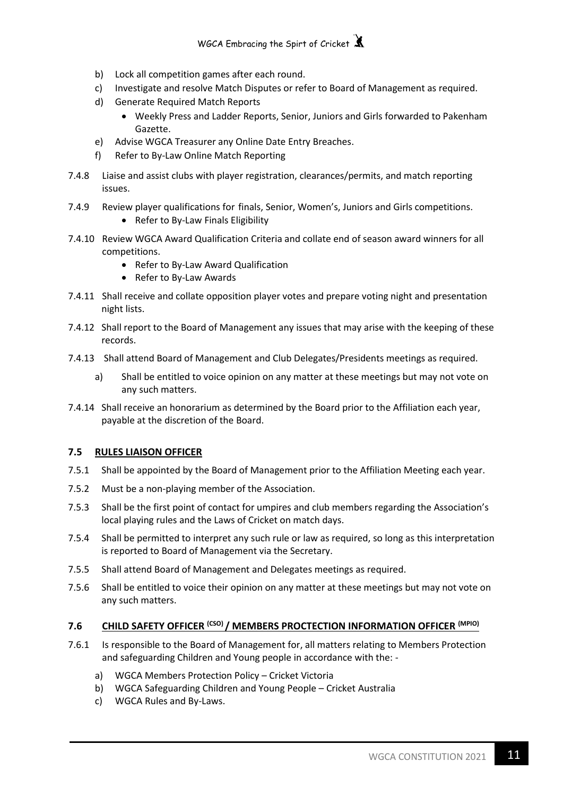- b) Lock all competition games after each round.
- c) Investigate and resolve Match Disputes or refer to Board of Management as required.
- d) Generate Required Match Reports
	- Weekly Press and Ladder Reports, Senior, Juniors and Girls forwarded to Pakenham Gazette.
- e) Advise WGCA Treasurer any Online Date Entry Breaches.
- f) Refer to By-Law Online Match Reporting
- 7.4.8 Liaise and assist clubs with player registration, clearances/permits, and match reporting issues.
- 7.4.9 Review player qualifications for finals, Senior, Women's, Juniors and Girls competitions.
	- Refer to By-Law Finals Eligibility
- 7.4.10 Review WGCA Award Qualification Criteria and collate end of season award winners for all competitions.
	- Refer to By-Law Award Qualification
	- Refer to By-Law Awards
- 7.4.11 Shall receive and collate opposition player votes and prepare voting night and presentation night lists.
- 7.4.12 Shall report to the Board of Management any issues that may arise with the keeping of these records.
- 7.4.13 Shall attend Board of Management and Club Delegates/Presidents meetings as required.
	- a) Shall be entitled to voice opinion on any matter at these meetings but may not vote on any such matters.
- 7.4.14 Shall receive an honorarium as determined by the Board prior to the Affiliation each year, payable at the discretion of the Board.

## **7.5 RULES LIAISON OFFICER**

- 7.5.1 Shall be appointed by the Board of Management prior to the Affiliation Meeting each year.
- 7.5.2 Must be a non-playing member of the Association.
- 7.5.3 Shall be the first point of contact for umpires and club members regarding the Association's local playing rules and the Laws of Cricket on match days.
- 7.5.4 Shall be permitted to interpret any such rule or law as required, so long as this interpretation is reported to Board of Management via the Secretary.
- 7.5.5 Shall attend Board of Management and Delegates meetings as required.
- 7.5.6 Shall be entitled to voice their opinion on any matter at these meetings but may not vote on any such matters.

## **7.6 CHILD SAFETY OFFICER (CSO) / MEMBERS PROCTECTION INFORMATION OFFICER (MPIO)**

- 7.6.1 Is responsible to the Board of Management for, all matters relating to Members Protection and safeguarding Children and Young people in accordance with the:
	- a) WGCA Members Protection Policy Cricket Victoria
	- b) WGCA Safeguarding Children and Young People Cricket Australia
	- c) WGCA Rules and By-Laws.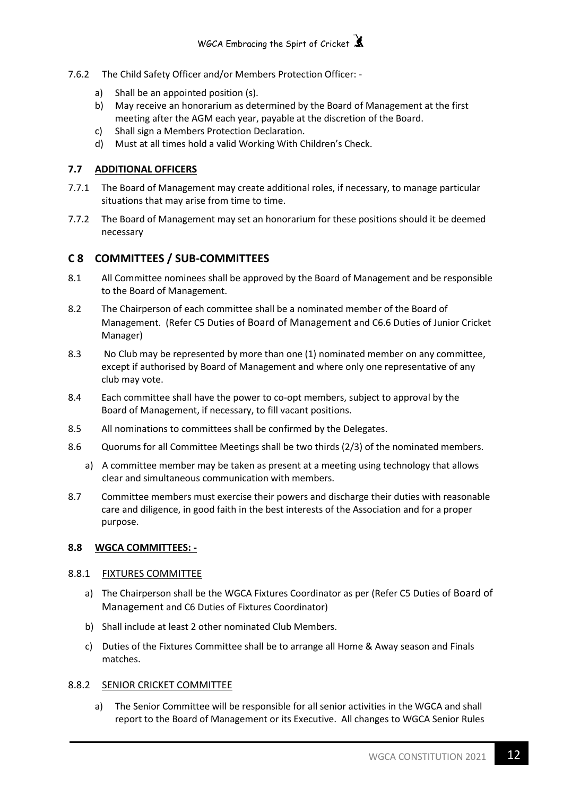- 7.6.2 The Child Safety Officer and/or Members Protection Officer:
	- a) Shall be an appointed position (s).
	- b) May receive an honorarium as determined by the Board of Management at the first meeting after the AGM each year, payable at the discretion of the Board.
	- c) Shall sign a Members Protection Declaration.
	- d) Must at all times hold a valid Working With Children's Check.

## **7.7 ADDITIONAL OFFICERS**

- 7.7.1 The Board of Management may create additional roles, if necessary, to manage particular situations that may arise from time to time.
- 7.7.2 The Board of Management may set an honorarium for these positions should it be deemed necessary

## **C 8 COMMITTEES / SUB-COMMITTEES**

- 8.1 All Committee nominees shall be approved by the Board of Management and be responsible to the Board of Management.
- 8.2 The Chairperson of each committee shall be a nominated member of the Board of Management. (Refer C5 Duties of Board of Management and C6.6 Duties of Junior Cricket Manager)
- 8.3 No Club may be represented by more than one (1) nominated member on any committee, except if authorised by Board of Management and where only one representative of any club may vote.
- 8.4 Each committee shall have the power to co-opt members, subject to approval by the Board of Management, if necessary, to fill vacant positions.
- 8.5 All nominations to committees shall be confirmed by the Delegates.
- 8.6 Quorums for all Committee Meetings shall be two thirds (2/3) of the nominated members.
	- a) A committee member may be taken as present at a meeting using technology that allows clear and simultaneous communication with members.
- 8.7 Committee members must exercise their powers and discharge their duties with reasonable care and diligence, in good faith in the best interests of the Association and for a proper purpose.

## **8.8 WGCA COMMITTEES: -**

## 8.8.1 FIXTURES COMMITTEE

- a) The Chairperson shall be the WGCA Fixtures Coordinator as per (Refer C5 Duties of Board of Management and C6 Duties of Fixtures Coordinator)
- b) Shall include at least 2 other nominated Club Members.
- c) Duties of the Fixtures Committee shall be to arrange all Home & Away season and Finals matches.

## 8.8.2 SENIOR CRICKET COMMITTEE

a) The Senior Committee will be responsible for all senior activities in the WGCA and shall report to the Board of Management or its Executive. All changes to WGCA Senior Rules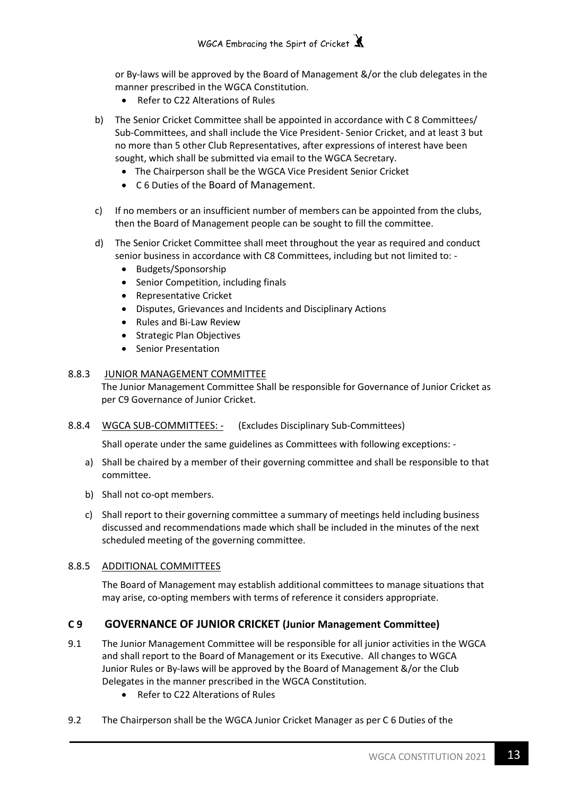or By-laws will be approved by the Board of Management &/or the club delegates in the manner prescribed in the WGCA Constitution.

- Refer to C22 Alterations of Rules
- b) The Senior Cricket Committee shall be appointed in accordance with C 8 Committees/ Sub-Committees, and shall include the Vice President- Senior Cricket, and at least 3 but no more than 5 other Club Representatives, after expressions of interest have been sought, which shall be submitted via email to the WGCA Secretary.
	- The Chairperson shall be the WGCA Vice President Senior Cricket
	- C 6 Duties of the Board of Management.
- c) If no members or an insufficient number of members can be appointed from the clubs, then the Board of Management people can be sought to fill the committee.
- d) The Senior Cricket Committee shall meet throughout the year as required and conduct senior business in accordance with C8 Committees, including but not limited to: -
	- Budgets/Sponsorship
	- Senior Competition, including finals
	- Representative Cricket
	- Disputes, Grievances and Incidents and Disciplinary Actions
	- Rules and Bi-Law Review
	- Strategic Plan Objectives
	- Senior Presentation

## 8.8.3 JUNIOR MANAGEMENT COMMITTEE

The Junior Management Committee Shall be responsible for Governance of Junior Cricket as per C9 Governance of Junior Cricket.

## 8.8.4 WGCA SUB-COMMITTEES: - (Excludes Disciplinary Sub-Committees)

Shall operate under the same guidelines as Committees with following exceptions: -

- a) Shall be chaired by a member of their governing committee and shall be responsible to that committee.
- b) Shall not co-opt members.
- c) Shall report to their governing committee a summary of meetings held including business discussed and recommendations made which shall be included in the minutes of the next scheduled meeting of the governing committee.

## 8.8.5 ADDITIONAL COMMITTEES

The Board of Management may establish additional committees to manage situations that may arise, co-opting members with terms of reference it considers appropriate.

## **C 9 GOVERNANCE OF JUNIOR CRICKET (Junior Management Committee)**

- 9.1 The Junior Management Committee will be responsible for all junior activities in the WGCA and shall report to the Board of Management or its Executive. All changes to WGCA Junior Rules or By-laws will be approved by the Board of Management &/or the Club Delegates in the manner prescribed in the WGCA Constitution.
	- Refer to C22 Alterations of Rules
- 9.2 The Chairperson shall be the WGCA Junior Cricket Manager as per C 6 Duties of the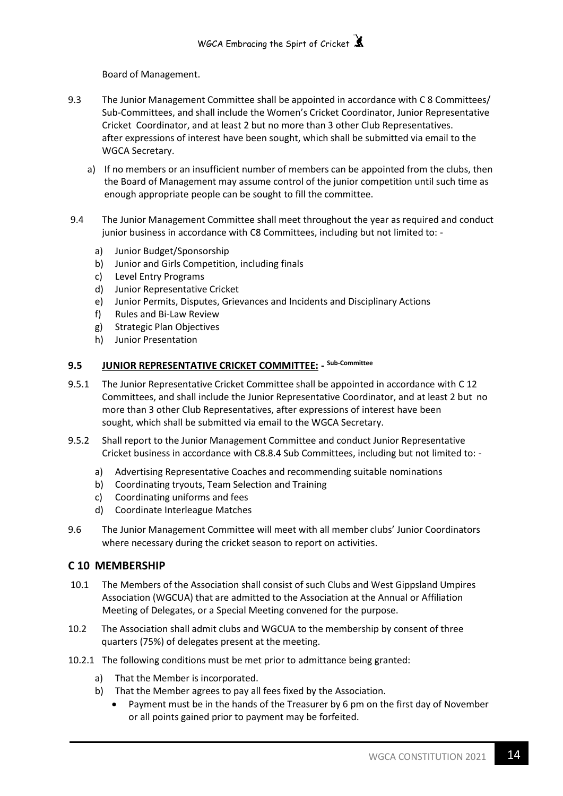Board of Management.

- 9.3 The Junior Management Committee shall be appointed in accordance with C 8 Committees/ Sub-Committees, and shall include the Women's Cricket Coordinator, Junior Representative Cricket Coordinator, and at least 2 but no more than 3 other Club Representatives. after expressions of interest have been sought, which shall be submitted via email to the WGCA Secretary.
	- a) If no members or an insufficient number of members can be appointed from the clubs, then the Board of Management may assume control of the junior competition until such time as enough appropriate people can be sought to fill the committee.
- 9.4 The Junior Management Committee shall meet throughout the year as required and conduct junior business in accordance with C8 Committees, including but not limited to:
	- a) Junior Budget/Sponsorship
	- b) Junior and Girls Competition, including finals
	- c) Level Entry Programs
	- d) Junior Representative Cricket
	- e) Junior Permits, Disputes, Grievances and Incidents and Disciplinary Actions
	- f) Rules and Bi-Law Review
	- g) Strategic Plan Objectives
	- h) Junior Presentation

## **9.5 JUNIOR REPRESENTATIVE CRICKET COMMITTEE: - Sub-Committee**

- 9.5.1 The Junior Representative Cricket Committee shall be appointed in accordance with C 12 Committees, and shall include the Junior Representative Coordinator, and at least 2 but no more than 3 other Club Representatives, after expressions of interest have been sought, which shall be submitted via email to the WGCA Secretary.
- 9.5.2 Shall report to the Junior Management Committee and conduct Junior Representative Cricket business in accordance with C8.8.4 Sub Committees, including but not limited to:
	- a) Advertising Representative Coaches and recommending suitable nominations
	- b) Coordinating tryouts, Team Selection and Training
	- c) Coordinating uniforms and fees
	- d) Coordinate Interleague Matches
- 9.6 The Junior Management Committee will meet with all member clubs' Junior Coordinators where necessary during the cricket season to report on activities.

## **C 10 MEMBERSHIP**

- 10.1 The Members of the Association shall consist of such Clubs and West Gippsland Umpires Association (WGCUA) that are admitted to the Association at the Annual or Affiliation Meeting of Delegates, or a Special Meeting convened for the purpose.
- 10.2 The Association shall admit clubs and WGCUA to the membership by consent of three quarters (75%) of delegates present at the meeting.
- 10.2.1 The following conditions must be met prior to admittance being granted:
	- a) That the Member is incorporated.
	- b) That the Member agrees to pay all fees fixed by the Association.
		- Payment must be in the hands of the Treasurer by 6 pm on the first day of November or all points gained prior to payment may be forfeited.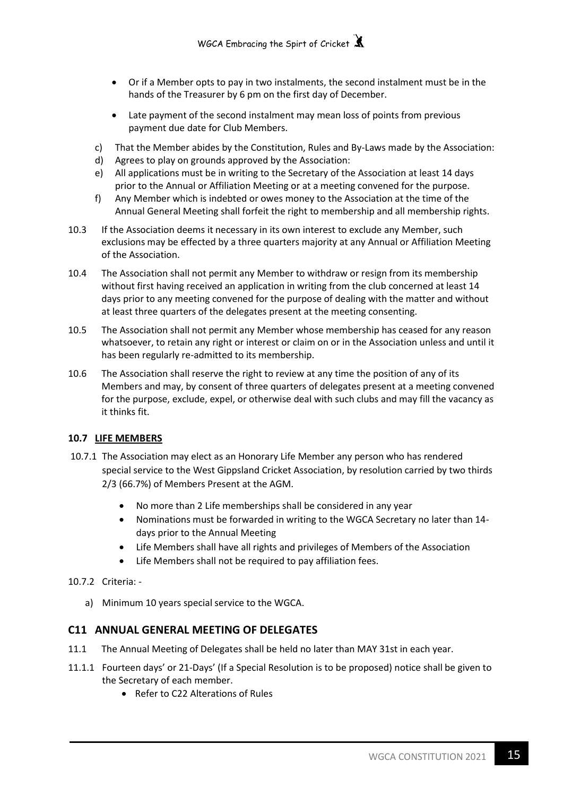- Or if a Member opts to pay in two instalments, the second instalment must be in the hands of the Treasurer by 6 pm on the first day of December.
- Late payment of the second instalment may mean loss of points from previous payment due date for Club Members.
- c) That the Member abides by the Constitution, Rules and By-Laws made by the Association:
- d) Agrees to play on grounds approved by the Association:
- e) All applications must be in writing to the Secretary of the Association at least 14 days prior to the Annual or Affiliation Meeting or at a meeting convened for the purpose.
- f) Any Member which is indebted or owes money to the Association at the time of the Annual General Meeting shall forfeit the right to membership and all membership rights.
- 10.3 If the Association deems it necessary in its own interest to exclude any Member, such exclusions may be effected by a three quarters majority at any Annual or Affiliation Meeting of the Association.
- 10.4 The Association shall not permit any Member to withdraw or resign from its membership without first having received an application in writing from the club concerned at least 14 days prior to any meeting convened for the purpose of dealing with the matter and without at least three quarters of the delegates present at the meeting consenting.
- 10.5 The Association shall not permit any Member whose membership has ceased for any reason whatsoever, to retain any right or interest or claim on or in the Association unless and until it has been regularly re-admitted to its membership.
- 10.6 The Association shall reserve the right to review at any time the position of any of its Members and may, by consent of three quarters of delegates present at a meeting convened for the purpose, exclude, expel, or otherwise deal with such clubs and may fill the vacancy as it thinks fit.

## **10.7 LIFE MEMBERS**

- 10.7.1 The Association may elect as an Honorary Life Member any person who has rendered special service to the West Gippsland Cricket Association, by resolution carried by two thirds 2/3 (66.7%) of Members Present at the AGM.
	- No more than 2 Life memberships shall be considered in any year
	- Nominations must be forwarded in writing to the WGCA Secretary no later than 14 days prior to the Annual Meeting
	- Life Members shall have all rights and privileges of Members of the Association
	- Life Members shall not be required to pay affiliation fees.
- 10.7.2 Criteria:
	- a) Minimum 10 years special service to the WGCA.

## **C11 ANNUAL GENERAL MEETING OF DELEGATES**

- 11.1 The Annual Meeting of Delegates shall be held no later than MAY 31st in each year.
- 11.1.1 Fourteen days' or 21-Days' (If a Special Resolution is to be proposed) notice shall be given to the Secretary of each member.
	- Refer to C22 Alterations of Rules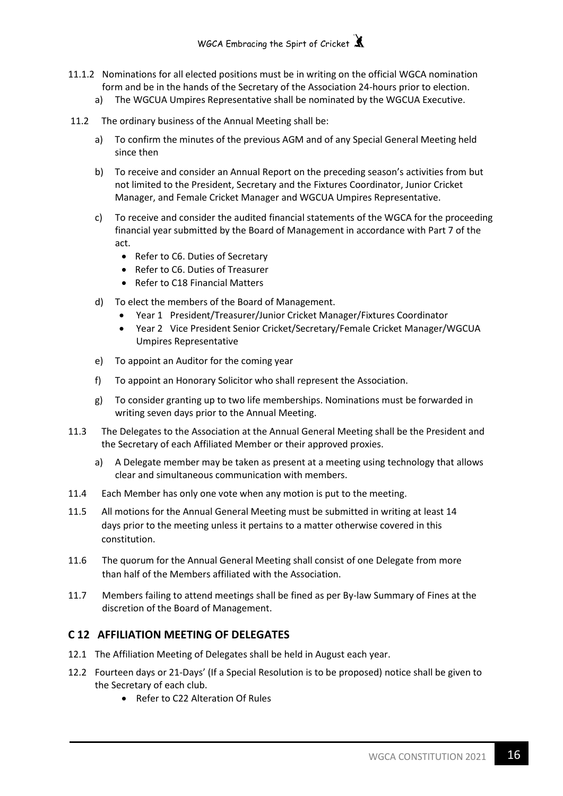- 11.1.2 Nominations for all elected positions must be in writing on the official WGCA nomination form and be in the hands of the Secretary of the Association 24-hours prior to election.
	- a) The WGCUA Umpires Representative shall be nominated by the WGCUA Executive.
- 11.2 The ordinary business of the Annual Meeting shall be:
	- a) To confirm the minutes of the previous AGM and of any Special General Meeting held since then
	- b) To receive and consider an Annual Report on the preceding season's activities from but not limited to the President, Secretary and the Fixtures Coordinator, Junior Cricket Manager, and Female Cricket Manager and WGCUA Umpires Representative.
	- c) To receive and consider the audited financial statements of the WGCA for the proceeding financial year submitted by the Board of Management in accordance with Part 7 of the act.
		- Refer to C6. Duties of Secretary
		- Refer to C6. Duties of Treasurer
		- Refer to C18 Financial Matters
	- d) To elect the members of the Board of Management.
		- Year 1 President/Treasurer/Junior Cricket Manager/Fixtures Coordinator
		- Year 2 Vice President Senior Cricket/Secretary/Female Cricket Manager/WGCUA Umpires Representative
	- e) To appoint an Auditor for the coming year
	- f) To appoint an Honorary Solicitor who shall represent the Association.
	- g) To consider granting up to two life memberships. Nominations must be forwarded in writing seven days prior to the Annual Meeting.
- 11.3 The Delegates to the Association at the Annual General Meeting shall be the President and the Secretary of each Affiliated Member or their approved proxies.
	- a) A Delegate member may be taken as present at a meeting using technology that allows clear and simultaneous communication with members.
- 11.4 Each Member has only one vote when any motion is put to the meeting.
- 11.5 All motions for the Annual General Meeting must be submitted in writing at least 14 days prior to the meeting unless it pertains to a matter otherwise covered in this constitution.
- 11.6 The quorum for the Annual General Meeting shall consist of one Delegate from more than half of the Members affiliated with the Association.
- 11.7 Members failing to attend meetings shall be fined as per By-law Summary of Fines at the discretion of the Board of Management.

## **C 12 AFFILIATION MEETING OF DELEGATES**

- 12.1 The Affiliation Meeting of Delegates shall be held in August each year.
- 12.2 Fourteen days or 21-Days' (If a Special Resolution is to be proposed) notice shall be given to the Secretary of each club.
	- Refer to C22 Alteration Of Rules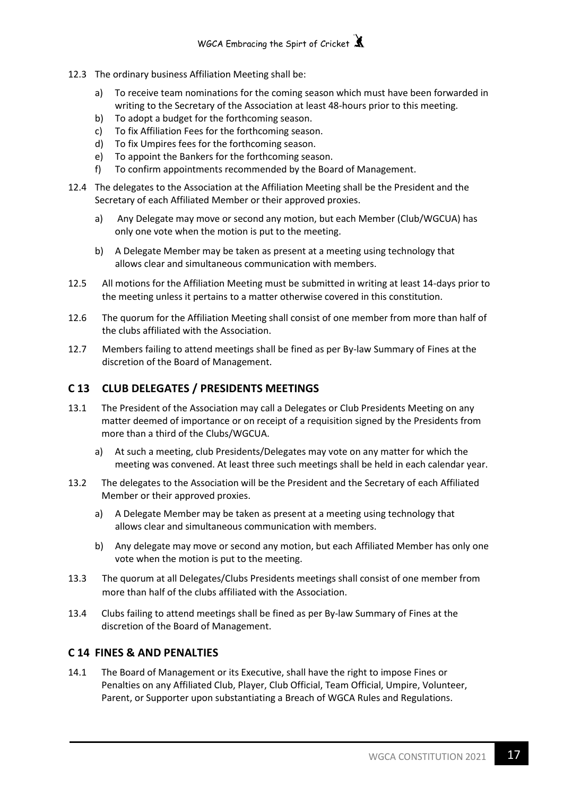- 12.3 The ordinary business Affiliation Meeting shall be:
	- a) To receive team nominations for the coming season which must have been forwarded in writing to the Secretary of the Association at least 48-hours prior to this meeting.
	- b) To adopt a budget for the forthcoming season.
	- c) To fix Affiliation Fees for the forthcoming season.
	- d) To fix Umpires fees for the forthcoming season.
	- e) To appoint the Bankers for the forthcoming season.
	- f) To confirm appointments recommended by the Board of Management.
- 12.4 The delegates to the Association at the Affiliation Meeting shall be the President and the Secretary of each Affiliated Member or their approved proxies.
	- a) Any Delegate may move or second any motion, but each Member (Club/WGCUA) has only one vote when the motion is put to the meeting.
	- b) A Delegate Member may be taken as present at a meeting using technology that allows clear and simultaneous communication with members.
- 12.5 All motions for the Affiliation Meeting must be submitted in writing at least 14-days prior to the meeting unless it pertains to a matter otherwise covered in this constitution.
- 12.6 The quorum for the Affiliation Meeting shall consist of one member from more than half of the clubs affiliated with the Association.
- 12.7 Members failing to attend meetings shall be fined as per By-law Summary of Fines at the discretion of the Board of Management.

## **C 13 CLUB DELEGATES / PRESIDENTS MEETINGS**

- 13.1 The President of the Association may call a Delegates or Club Presidents Meeting on any matter deemed of importance or on receipt of a requisition signed by the Presidents from more than a third of the Clubs/WGCUA.
	- a) At such a meeting, club Presidents/Delegates may vote on any matter for which the meeting was convened. At least three such meetings shall be held in each calendar year.
- 13.2 The delegates to the Association will be the President and the Secretary of each Affiliated Member or their approved proxies.
	- a) A Delegate Member may be taken as present at a meeting using technology that allows clear and simultaneous communication with members.
	- b) Any delegate may move or second any motion, but each Affiliated Member has only one vote when the motion is put to the meeting.
- 13.3 The quorum at all Delegates/Clubs Presidents meetings shall consist of one member from more than half of the clubs affiliated with the Association.
- 13.4 Clubs failing to attend meetings shall be fined as per By-law Summary of Fines at the discretion of the Board of Management.

## **C 14 FINES & AND PENALTIES**

14.1 The Board of Management or its Executive, shall have the right to impose Fines or Penalties on any Affiliated Club, Player, Club Official, Team Official, Umpire, Volunteer, Parent, or Supporter upon substantiating a Breach of WGCA Rules and Regulations.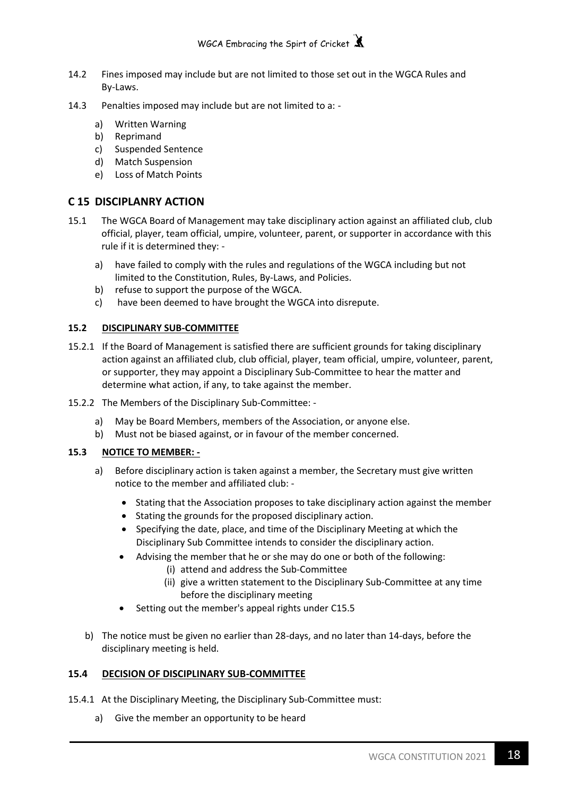- 14.2 Fines imposed may include but are not limited to those set out in the WGCA Rules and By-Laws.
- 14.3 Penalties imposed may include but are not limited to a:
	- a) Written Warning
	- b) Reprimand
	- c) Suspended Sentence
	- d) Match Suspension
	- e) Loss of Match Points

## **C 15 DISCIPLANRY ACTION**

- 15.1 The WGCA Board of Management may take disciplinary action against an affiliated club, club official, player, team official, umpire, volunteer, parent, or supporter in accordance with this rule if it is determined they:
	- a) have failed to comply with the rules and regulations of the WGCA including but not limited to the Constitution, Rules, By-Laws, and Policies.
	- b) refuse to support the purpose of the WGCA.
	- c) have been deemed to have brought the WGCA into disrepute.

## **15.2 DISCIPLINARY SUB-COMMITTEE**

- 15.2.1 If the Board of Management is satisfied there are sufficient grounds for taking disciplinary action against an affiliated club, club official, player, team official, umpire, volunteer, parent, or supporter, they may appoint a Disciplinary Sub-Committee to hear the matter and determine what action, if any, to take against the member.
- 15.2.2 The Members of the Disciplinary Sub-Committee:
	- a) May be Board Members, members of the Association, or anyone else.
	- b) Must not be biased against, or in favour of the member concerned.

## **15.3 NOTICE TO MEMBER: -**

- a) Before disciplinary action is taken against a member, the Secretary must give written notice to the member and affiliated club: -
	- Stating that the Association proposes to take disciplinary action against the member
	- Stating the grounds for the proposed disciplinary action.
	- Specifying the date, place, and time of the Disciplinary Meeting at which the Disciplinary Sub Committee intends to consider the disciplinary action.
	- Advising the member that he or she may do one or both of the following:
		- (i) attend and address the Sub-Committee
		- (ii) give a written statement to the Disciplinary Sub-Committee at any time before the disciplinary meeting
	- Setting out the member's appeal rights under C15.5
- b) The notice must be given no earlier than 28-days, and no later than 14-days, before the disciplinary meeting is held.

## **15.4 DECISION OF DISCIPLINARY SUB-COMMITTEE**

- 15.4.1 At the Disciplinary Meeting, the Disciplinary Sub-Committee must:
	- a) Give the member an opportunity to be heard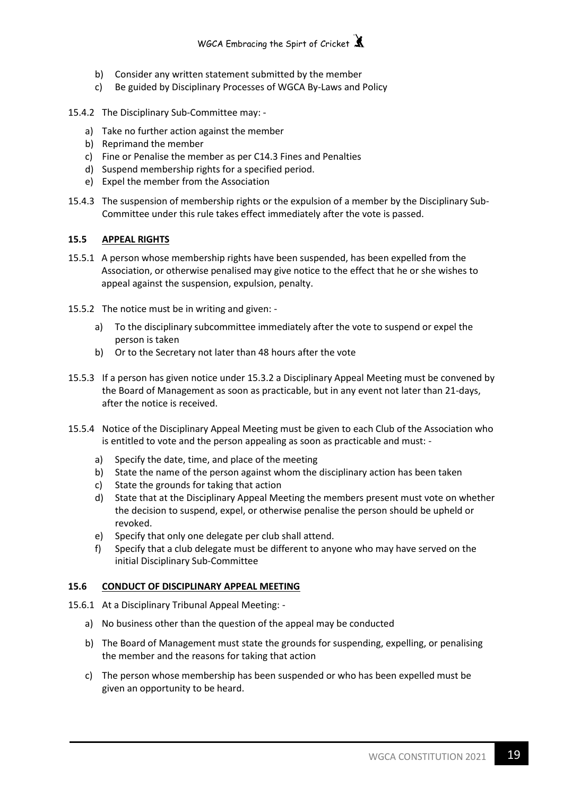

- b) Consider any written statement submitted by the member
- c) Be guided by Disciplinary Processes of WGCA By-Laws and Policy
- 15.4.2 The Disciplinary Sub-Committee may:
	- a) Take no further action against the member
	- b) Reprimand the member
	- c) Fine or Penalise the member as per C14.3 Fines and Penalties
	- d) Suspend membership rights for a specified period.
	- e) Expel the member from the Association
- 15.4.3 The suspension of membership rights or the expulsion of a member by the Disciplinary Sub-Committee under this rule takes effect immediately after the vote is passed.

#### **15.5 APPEAL RIGHTS**

- 15.5.1 A person whose membership rights have been suspended, has been expelled from the Association, or otherwise penalised may give notice to the effect that he or she wishes to appeal against the suspension, expulsion, penalty.
- 15.5.2 The notice must be in writing and given:
	- a) To the disciplinary subcommittee immediately after the vote to suspend or expel the person is taken
	- b) Or to the Secretary not later than 48 hours after the vote
- 15.5.3 If a person has given notice under 15.3.2 a Disciplinary Appeal Meeting must be convened by the Board of Management as soon as practicable, but in any event not later than 21-days, after the notice is received.
- 15.5.4 Notice of the Disciplinary Appeal Meeting must be given to each Club of the Association who is entitled to vote and the person appealing as soon as practicable and must:
	- a) Specify the date, time, and place of the meeting
	- b) State the name of the person against whom the disciplinary action has been taken
	- c) State the grounds for taking that action
	- d) State that at the Disciplinary Appeal Meeting the members present must vote on whether the decision to suspend, expel, or otherwise penalise the person should be upheld or revoked.
	- e) Specify that only one delegate per club shall attend.
	- f) Specify that a club delegate must be different to anyone who may have served on the initial Disciplinary Sub-Committee

#### **15.6 CONDUCT OF DISCIPLINARY APPEAL MEETING**

- 15.6.1 At a Disciplinary Tribunal Appeal Meeting:
	- a) No business other than the question of the appeal may be conducted
	- b) The Board of Management must state the grounds for suspending, expelling, or penalising the member and the reasons for taking that action
	- c) The person whose membership has been suspended or who has been expelled must be given an opportunity to be heard.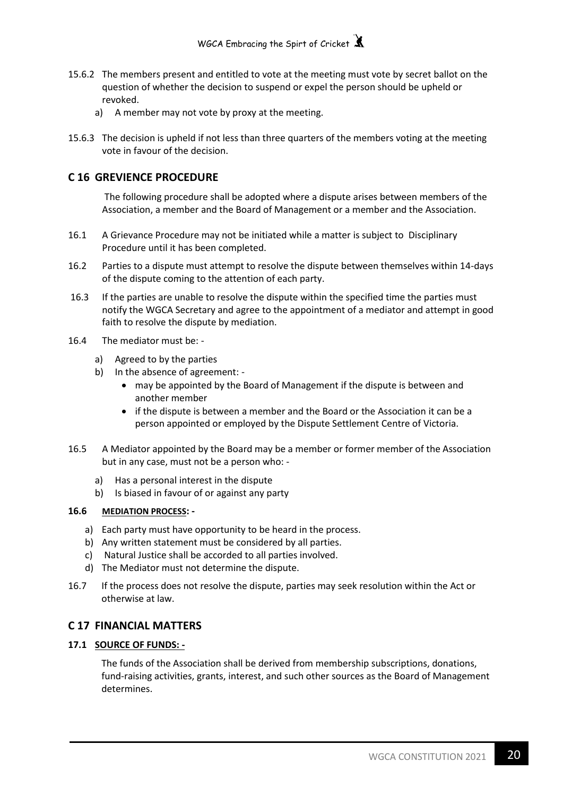- 15.6.2 The members present and entitled to vote at the meeting must vote by secret ballot on the question of whether the decision to suspend or expel the person should be upheld or revoked.
	- a) A member may not vote by proxy at the meeting.
- 15.6.3 The decision is upheld if not less than three quarters of the members voting at the meeting vote in favour of the decision.

## **C 16 GREVIENCE PROCEDURE**

The following procedure shall be adopted where a dispute arises between members of the Association, a member and the Board of Management or a member and the Association.

- 16.1 A Grievance Procedure may not be initiated while a matter is subject to Disciplinary Procedure until it has been completed.
- 16.2 Parties to a dispute must attempt to resolve the dispute between themselves within 14-days of the dispute coming to the attention of each party.
- 16.3 If the parties are unable to resolve the dispute within the specified time the parties must notify the WGCA Secretary and agree to the appointment of a mediator and attempt in good faith to resolve the dispute by mediation.
- 16.4 The mediator must be:
	- a) Agreed to by the parties
	- b) In the absence of agreement:
		- may be appointed by the Board of Management if the dispute is between and another member
		- if the dispute is between a member and the Board or the Association it can be a person appointed or employed by the Dispute Settlement Centre of Victoria.
- 16.5 A Mediator appointed by the Board may be a member or former member of the Association but in any case, must not be a person who:
	- a) Has a personal interest in the dispute
	- b) Is biased in favour of or against any party

## **16.6 MEDIATION PROCESS: -**

- a) Each party must have opportunity to be heard in the process.
- b) Any written statement must be considered by all parties.
- c) Natural Justice shall be accorded to all parties involved.
- d) The Mediator must not determine the dispute.
- 16.7 If the process does not resolve the dispute, parties may seek resolution within the Act or otherwise at law.

## **C 17 FINANCIAL MATTERS**

## **17.1 SOURCE OF FUNDS: -**

The funds of the Association shall be derived from membership subscriptions, donations, fund-raising activities, grants, interest, and such other sources as the Board of Management determines.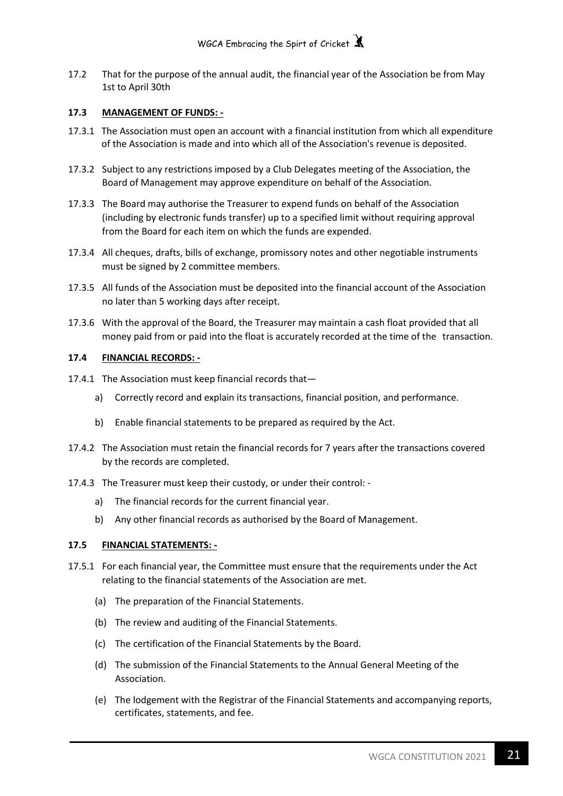17.2 That for the purpose of the annual audit, the financial year of the Association be from May 1st to April 30th

## **17.3 MANAGEMENT OF FUNDS: -**

- 17.3.1 The Association must open an account with a financial institution from which all expenditure of the Association is made and into which all of the Association's revenue is deposited.
- 17.3.2 Subject to any restrictions imposed by a Club Delegates meeting of the Association, the Board of Management may approve expenditure on behalf of the Association.
- 17.3.3 The Board may authorise the Treasurer to expend funds on behalf of the Association (including by electronic funds transfer) up to a specified limit without requiring approval from the Board for each item on which the funds are expended.
- 17.3.4 All cheques, drafts, bills of exchange, promissory notes and other negotiable instruments must be signed by 2 committee members.
- 17.3.5 All funds of the Association must be deposited into the financial account of the Association no later than 5 working days after receipt.
- 17.3.6 With the approval of the Board, the Treasurer may maintain a cash float provided that all money paid from or paid into the float is accurately recorded at the time of the transaction.

## **17.4 FINANCIAL RECORDS: -**

- 17.4.1 The Association must keep financial records that
	- a) Correctly record and explain its transactions, financial position, and performance.
	- b) Enable financial statements to be prepared as required by the Act.
- 17.4.2 The Association must retain the financial records for 7 years after the transactions covered by the records are completed.
- 17.4.3 The Treasurer must keep their custody, or under their control:
	- a) The financial records for the current financial year.
	- b) Any other financial records as authorised by the Board of Management.

## **17.5 FINANCIAL STATEMENTS: -**

- 17.5.1 For each financial year, the Committee must ensure that the requirements under the Act relating to the financial statements of the Association are met.
	- (a) The preparation of the Financial Statements.
	- (b) The review and auditing of the Financial Statements.
	- (c) The certification of the Financial Statements by the Board.
	- (d) The submission of the Financial Statements to the Annual General Meeting of the Association.
	- (e) The lodgement with the Registrar of the Financial Statements and accompanying reports, certificates, statements, and fee.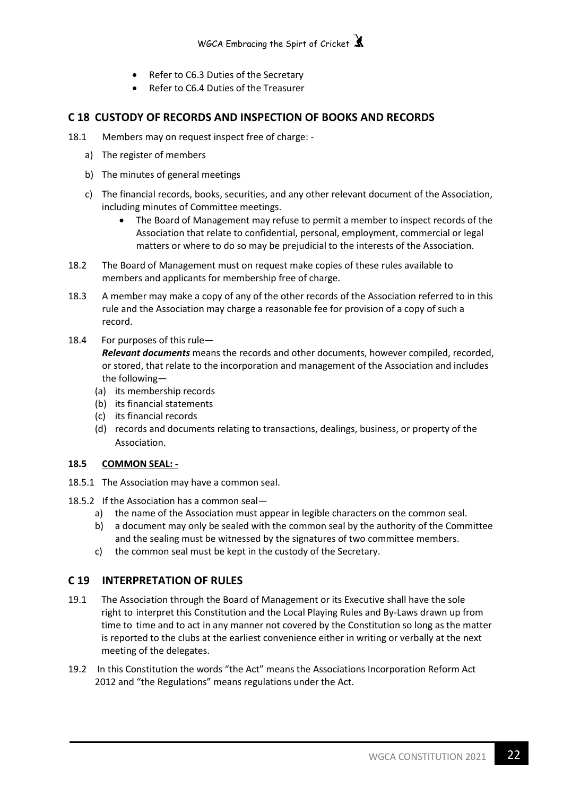- Refer to C6.3 Duties of the Secretary
- Refer to C6.4 Duties of the Treasurer

## **C 18 CUSTODY OF RECORDS AND INSPECTION OF BOOKS AND RECORDS**

- 18.1 Members may on request inspect free of charge:
	- a) The register of members
	- b) The minutes of general meetings
	- c) The financial records, books, securities, and any other relevant document of the Association, including minutes of Committee meetings.
		- The Board of Management may refuse to permit a member to inspect records of the Association that relate to confidential, personal, employment, commercial or legal matters or where to do so may be prejudicial to the interests of the Association.
- 18.2 The Board of Management must on request make copies of these rules available to members and applicants for membership free of charge.
- 18.3 A member may make a copy of any of the other records of the Association referred to in this rule and the Association may charge a reasonable fee for provision of a copy of such a record.
- 18.4 For purposes of this rule—

*Relevant documents* means the records and other documents, however compiled, recorded, or stored, that relate to the incorporation and management of the Association and includes the following—

- (a) its membership records
- (b) its financial statements
- (c) its financial records
- (d) records and documents relating to transactions, dealings, business, or property of the Association.

## **18.5 COMMON SEAL: -**

- 18.5.1 The Association may have a common seal.
- 18.5.2 If the Association has a common seal
	- a) the name of the Association must appear in legible characters on the common seal.
	- b) a document may only be sealed with the common seal by the authority of the Committee and the sealing must be witnessed by the signatures of two committee members.
	- c) the common seal must be kept in the custody of the Secretary.

## **C 19 INTERPRETATION OF RULES**

- 19.1 The Association through the Board of Management or its Executive shall have the sole right to interpret this Constitution and the Local Playing Rules and By-Laws drawn up from time to time and to act in any manner not covered by the Constitution so long as the matter is reported to the clubs at the earliest convenience either in writing or verbally at the next meeting of the delegates.
- 19.2 In this Constitution the words "the Act" means the Associations Incorporation Reform Act 2012 and "the Regulations" means regulations under the Act.